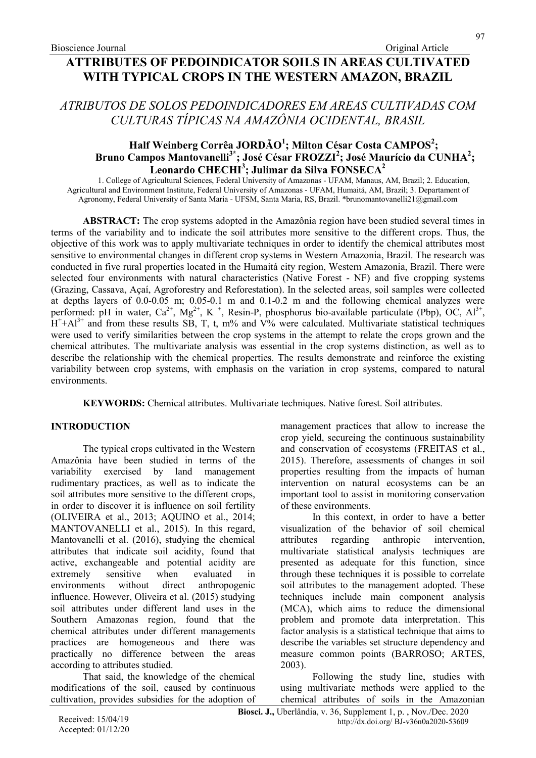# ATRIBUTOS DE SOLOS PEDOINDICADORES EM AREAS CULTIVADAS COM CULTURAS TÍPICAS NA AMAZÔNIA OCIDENTAL, BRASIL

# Half Weinberg Corrêa JORDÃO<sup>1</sup>; Milton César Costa CAMPOS<sup>2</sup>; Bruno Campos Mantovanelli<sup>3\*</sup>; José César FROZZI<sup>2</sup>; José Maurício da CUNHA<sup>2</sup>; .<br>Leonardo CHECHI<sup>3</sup>; Julimar da Silva FONSECA<sup>2</sup>

1. College of Agricultural Sciences, Federal University of Amazonas - UFAM, Manaus, AM, Brazil; 2. Education, Agricultural and Environment Institute, Federal University of Amazonas - UFAM, Humaitá, AM, Brazil; 3. Departament of Agronomy, Federal University of Santa Maria - UFSM, Santa Maria, RS, Brazil. \*brunomantovanelli21@gmail.com

ABSTRACT: The crop systems adopted in the Amazônia region have been studied several times in terms of the variability and to indicate the soil attributes more sensitive to the different crops. Thus, the objective of this work was to apply multivariate techniques in order to identify the chemical attributes most sensitive to environmental changes in different crop systems in Western Amazonia, Brazil. The research was conducted in five rural properties located in the Humaitá city region, Western Amazonia, Brazil. There were selected four environments with natural characteristics (Native Forest - NF) and five cropping systems (Grazing, Cassava, Açaí, Agroforestry and Reforestation). In the selected areas, soil samples were collected at depths layers of 0.0-0.05 m; 0.05-0.1 m and 0.1-0.2 m and the following chemical analyzes were performed: pH in water,  $Ca^{2+}$ ,  $Mg^{2+}$ , K<sup>+</sup>, Resin-P, phosphorus bio-available particulate (Pbp), OC, Al<sup>3+</sup>,  $H^{\dagger}+Al^{3+}$  and from these results SB, T, t, m% and V% were calculated. Multivariate statistical techniques were used to verify similarities between the crop systems in the attempt to relate the crops grown and the chemical attributes. The multivariate analysis was essential in the crop systems distinction, as well as to describe the relationship with the chemical properties. The results demonstrate and reinforce the existing variability between crop systems, with emphasis on the variation in crop systems, compared to natural environments.

KEYWORDS: Chemical attributes. Multivariate techniques. Native forest. Soil attributes.

# INTRODUCTION

The typical crops cultivated in the Western Amazônia have been studied in terms of the variability exercised by land management rudimentary practices, as well as to indicate the soil attributes more sensitive to the different crops, in order to discover it is influence on soil fertility (OLIVEIRA et al., 2013; AQUINO et al., 2014; MANTOVANELLI et al., 2015). In this regard, Mantovanelli et al. (2016), studying the chemical attributes that indicate soil acidity, found that active, exchangeable and potential acidity are extremely sensitive when evaluated in environments without direct anthropogenic influence. However, Oliveira et al. (2015) studying soil attributes under different land uses in the Southern Amazonas region, found that the chemical attributes under different managements practices are homogeneous and there was practically no difference between the areas according to attributes studied.

That said, the knowledge of the chemical modifications of the soil, caused by continuous cultivation, provides subsidies for the adoption of management practices that allow to increase the crop yield, secureing the continuous sustainability and conservation of ecosystems (FREITAS et al., 2015). Therefore, assessments of changes in soil properties resulting from the impacts of human intervention on natural ecosystems can be an important tool to assist in monitoring conservation of these environments.

In this context, in order to have a better visualization of the behavior of soil chemical attributes regarding anthropic intervention, multivariate statistical analysis techniques are presented as adequate for this function, since through these techniques it is possible to correlate soil attributes to the management adopted. These techniques include main component analysis (MCA), which aims to reduce the dimensional problem and promote data interpretation. This factor analysis is a statistical technique that aims to describe the variables set structure dependency and measure common points (BARROSO; ARTES, 2003).

Following the study line, studies with using multivariate methods were applied to the chemical attributes of soils in the Amazonian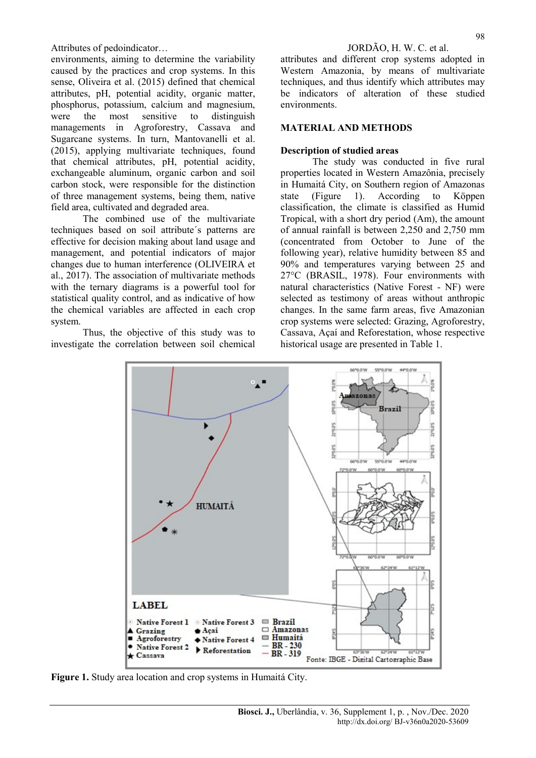environments, aiming to determine the variability caused by the practices and crop systems. In this sense, Oliveira et al. (2015) defined that chemical attributes, pH, potential acidity, organic matter, phosphorus, potassium, calcium and magnesium, were the most sensitive to distinguish managements in Agroforestry, Cassava and Sugarcane systems. In turn, Mantovanelli et al. (2015), applying multivariate techniques, found that chemical attributes, pH, potential acidity, exchangeable aluminum, organic carbon and soil carbon stock, were responsible for the distinction of three management systems, being them, native field area, cultivated and degraded area.

The combined use of the multivariate techniques based on soil attribute´s patterns are effective for decision making about land usage and management, and potential indicators of major changes due to human interference (OLIVEIRA et al., 2017). The association of multivariate methods with the ternary diagrams is a powerful tool for statistical quality control, and as indicative of how the chemical variables are affected in each crop system.

Thus, the objective of this study was to investigate the correlation between soil chemical attributes and different crop systems adopted in Western Amazonia, by means of multivariate techniques, and thus identify which attributes may be indicators of alteration of these studied environments.

### MATERIAL AND METHODS

### Description of studied areas

The study was conducted in five rural properties located in Western Amazônia, precisely in Humaitá City, on Southern region of Amazonas state (Figure 1). According to Köppen classification, the climate is classified as Humid Tropical, with a short dry period (Am), the amount of annual rainfall is between 2,250 and 2,750 mm (concentrated from October to June of the following year), relative humidity between 85 and 90% and temperatures varying between 25 and 27°C (BRASIL, 1978). Four environments with natural characteristics (Native Forest - NF) were selected as testimony of areas without anthropic changes. In the same farm areas, five Amazonian crop systems were selected: Grazing, Agroforestry, Cassava, Açaí and Reforestation, whose respective historical usage are presented in Table 1.



Figure 1. Study area location and crop systems in Humaitá City.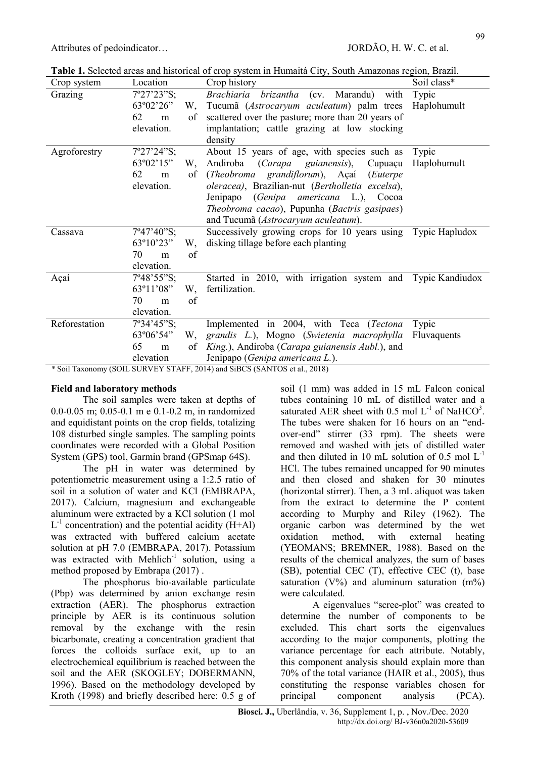Table 1. Selected areas and historical of crop system in Humaitá City, South Amazonas region, Brazil.

| rabic 1. Scheeled areas and msteriedi of crop system in Framana City, South Frinazonas region, Drazin. |                                    |                                                              |                    |  |  |  |  |  |  |
|--------------------------------------------------------------------------------------------------------|------------------------------------|--------------------------------------------------------------|--------------------|--|--|--|--|--|--|
| Crop system                                                                                            | Location                           | Crop history                                                 | Soil class*        |  |  |  |  |  |  |
| Grazing                                                                                                | 7°27'23"S;                         | Brachiaria<br>(cv. Marandu)<br>with<br>brizantha             | Typic              |  |  |  |  |  |  |
|                                                                                                        | 63°02'26"<br>W,                    | Tucumã (Astrocaryum aculeatum) palm trees                    | Haplohumult        |  |  |  |  |  |  |
|                                                                                                        | 62<br>οf<br>m                      | scattered over the pasture; more than 20 years of            |                    |  |  |  |  |  |  |
|                                                                                                        | elevation.                         | implantation; cattle grazing at low stocking                 |                    |  |  |  |  |  |  |
|                                                                                                        |                                    | density                                                      |                    |  |  |  |  |  |  |
| Agroforestry                                                                                           | 7°27'24"S;                         | About 15 years of age, with species such as                  | Typic              |  |  |  |  |  |  |
|                                                                                                        | 63°02'15"<br>W,                    | Andiroba (Carapa guianensis),<br>Cupuaçu                     | Haplohumult        |  |  |  |  |  |  |
|                                                                                                        | 62<br>of<br>m                      | (Theobroma grandiflorum), Açai<br>(Euterpe)                  |                    |  |  |  |  |  |  |
|                                                                                                        | elevation.                         | oleracea), Brazilian-nut (Bertholletia excelsa),             |                    |  |  |  |  |  |  |
|                                                                                                        |                                    | Jenipapo (Genipa americana L.), Cocoa                        |                    |  |  |  |  |  |  |
|                                                                                                        |                                    | Theobroma cacao), Pupunha (Bactris gasipaes)                 |                    |  |  |  |  |  |  |
|                                                                                                        |                                    | and Tucumã (Astrocaryum aculeatum).                          |                    |  |  |  |  |  |  |
| Cassava                                                                                                | 7°47'40"S;                         | Successively growing crops for 10 years using Typic Hapludox |                    |  |  |  |  |  |  |
|                                                                                                        | 63°10'23"<br>W,                    | disking tillage before each planting                         |                    |  |  |  |  |  |  |
|                                                                                                        | 70<br>of<br>m                      |                                                              |                    |  |  |  |  |  |  |
|                                                                                                        | elevation.                         |                                                              |                    |  |  |  |  |  |  |
| Açaí                                                                                                   | $7^{\circ}48^{\circ}55^{\circ}S$ ; | Started in 2010, with irrigation system and Typic Kandiudox  |                    |  |  |  |  |  |  |
|                                                                                                        | 63°11'08"<br>W,                    | fertilization.                                               |                    |  |  |  |  |  |  |
|                                                                                                        | 70<br>of<br>m                      |                                                              |                    |  |  |  |  |  |  |
|                                                                                                        | elevation.                         |                                                              |                    |  |  |  |  |  |  |
| Reforestation                                                                                          | 7°34'45"S;                         | Implemented in 2004, with Teca (Tectona                      | Typic              |  |  |  |  |  |  |
|                                                                                                        | 63°06'54"<br>W,                    | grandis L.), Mogno (Swietenia macrophylla                    | <b>Fluvaquents</b> |  |  |  |  |  |  |
|                                                                                                        | 65<br><sub>of</sub><br>m           | King.), Andiroba (Carapa guianensis Aubl.), and              |                    |  |  |  |  |  |  |
|                                                                                                        | elevation                          | Jenipapo (Genipa americana L.).                              |                    |  |  |  |  |  |  |
| * Soil Taxonomy (SOIL SURVEY STAFF, 2014) and SiBCS (SANTOS et al., 2018)                              |                                    |                                                              |                    |  |  |  |  |  |  |

# Field and laboratory methods

The soil samples were taken at depths of 0.0-0.05 m; 0.05-0.1 m e 0.1-0.2 m, in randomized and equidistant points on the crop fields, totalizing 108 disturbed single samples. The sampling points coordinates were recorded with a Global Position System (GPS) tool, Garmin brand (GPSmap 64S).

The pH in water was determined by potentiometric measurement using a 1:2.5 ratio of soil in a solution of water and KCl (EMBRAPA, 2017). Calcium, magnesium and exchangeable aluminum were extracted by a KCl solution (1 mol  $L^{-1}$  concentration) and the potential acidity (H+Al) was extracted with buffered calcium acetate solution at pH 7.0 (EMBRAPA, 2017). Potassium was extracted with Mehlich<sup>-1</sup> solution, using a method proposed by Embrapa (2017) .

The phosphorus bio-available particulate (Pbp) was determined by anion exchange resin extraction (AER). The phosphorus extraction principle by AER is its continuous solution removal by the exchange with the resin bicarbonate, creating a concentration gradient that forces the colloids surface exit, up to an electrochemical equilibrium is reached between the soil and the AER (SKOGLEY; DOBERMANN, 1996). Based on the methodology developed by Kroth (1998) and briefly described here: 0.5 g of soil (1 mm) was added in 15 mL Falcon conical tubes containing 10 mL of distilled water and a saturated AER sheet with 0.5 mol  $L^{-1}$  of NaHCO<sup>3</sup>. The tubes were shaken for 16 hours on an "endover-end" stirrer (33 rpm). The sheets were removed and washed with jets of distilled water and then diluted in 10 mL solution of 0.5 mol  $L^{-1}$ HCl. The tubes remained uncapped for 90 minutes and then closed and shaken for 30 minutes (horizontal stirrer). Then, a 3 mL aliquot was taken from the extract to determine the P content according to Murphy and Riley (1962). The organic carbon was determined by the wet oxidation method, with external heating (YEOMANS; BREMNER, 1988). Based on the results of the chemical analyzes, the sum of bases (SB), potential CEC (T), effective CEC (t), base saturation (V%) and aluminum saturation  $(m\%)$ were calculated.

A eigenvalues "scree-plot" was created to determine the number of components to be excluded. This chart sorts the eigenvalues according to the major components, plotting the variance percentage for each attribute. Notably, this component analysis should explain more than 70% of the total variance (HAIR et al., 2005), thus constituting the response variables chosen for principal component analysis (PCA).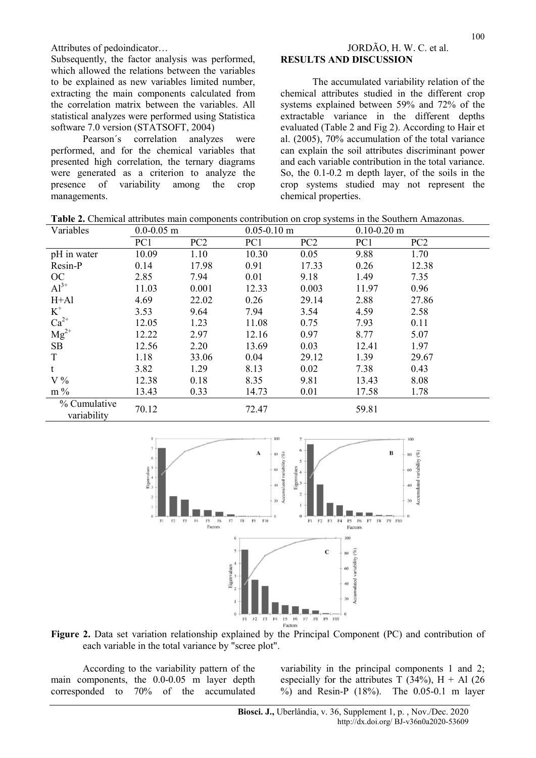Subsequently, the factor analysis was performed, which allowed the relations between the variables to be explained as new variables limited number, extracting the main components calculated from the correlation matrix between the variables. All statistical analyzes were performed using Statistica software 7.0 version (STATSOFT, 2004)

Pearson´s correlation analyzes were performed, and for the chemical variables that presented high correlation, the ternary diagrams were generated as a criterion to analyze the presence of variability among the crop managements.

# Attributes of pedoindicator… JORDÃO, H. W. C. et al. RESULTS AND DISCUSSION

The accumulated variability relation of the chemical attributes studied in the different crop systems explained between 59% and 72% of the extractable variance in the different depths evaluated (Table 2 and Fig 2). According to Hair et al. (2005), 70% accumulation of the total variance can explain the soil attributes discriminant power and each variable contribution in the total variance. So, the 0.1-0.2 m depth layer, of the soils in the crop systems studied may not represent the chemical properties.

Table 2. Chemical attributes main components contribution on crop systems in the Southern Amazonas.

| Variables                         | $0.0 - 0.05$ m |       | $0.05 - 0.10$ m |       | $0.10 - 0.20$ m |       |  |
|-----------------------------------|----------------|-------|-----------------|-------|-----------------|-------|--|
|                                   | PC1            | PC2   | PC1             | PC2   | PC1             | PC2   |  |
| pH in water                       | 10.09          | 1.10  | 10.30           | 0.05  | 9.88            | 1.70  |  |
| Resin-P                           | 0.14           | 17.98 | 0.91            | 17.33 | 0.26            | 12.38 |  |
| OC                                | 2.85           | 7.94  | 0.01            | 9.18  | 1.49            | 7.35  |  |
| $Al^{3+}$                         | 11.03          | 0.001 | 12.33           | 0.003 | 11.97           | 0.96  |  |
| $H+A1$                            | 4.69           | 22.02 | 0.26            | 29.14 | 2.88            | 27.86 |  |
| $K^+$                             | 3.53           | 9.64  | 7.94            | 3.54  | 4.59            | 2.58  |  |
|                                   | 12.05          | 1.23  | 11.08           | 0.75  | 7.93            | 0.11  |  |
| $\text{Ca}^{2+}$ $\text{Mg}^{2+}$ | 12.22          | 2.97  | 12.16           | 0.97  | 8.77            | 5.07  |  |
| SB                                | 12.56          | 2.20  | 13.69           | 0.03  | 12.41           | 1.97  |  |
| T                                 | 1.18           | 33.06 | 0.04            | 29.12 | 1.39            | 29.67 |  |
| t                                 | 3.82           | 1.29  | 8.13            | 0.02  | 7.38            | 0.43  |  |
| V%                                | 12.38          | 0.18  | 8.35            | 9.81  | 13.43           | 8.08  |  |
| $m\%$                             | 13.43          | 0.33  | 14.73           | 0.01  | 17.58           | 1.78  |  |
| % Cumulative<br>variability       | 70.12          |       | 72.47           |       | 59.81           |       |  |



Figure 2. Data set variation relationship explained by the Principal Component (PC) and contribution of each variable in the total variance by "scree plot".

According to the variability pattern of the main components, the 0.0-0.05 m layer depth corresponded to 70% of the accumulated variability in the principal components 1 and 2; especially for the attributes T (34%),  $H + Al$  (26) %) and Resin-P (18%). The 0.05-0.1 m layer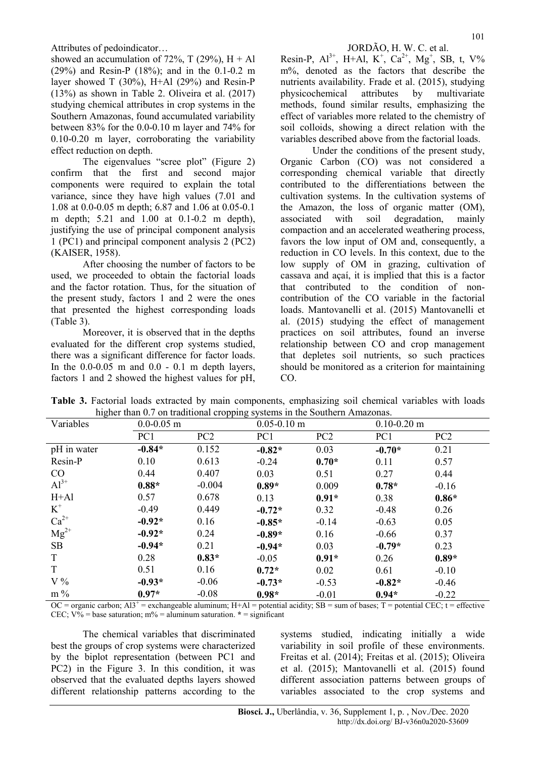showed an accumulation of 72%, T (29%),  $H + Al$ (29%) and Resin-P (18%); and in the 0.1-0.2 m layer showed T  $(30\%)$ , H+Al  $(29\%)$  and Resin-P (13%) as shown in Table 2. Oliveira et al. (2017) studying chemical attributes in crop systems in the Southern Amazonas, found accumulated variability between 83% for the 0.0-0.10 m layer and 74% for 0.10-0.20 m layer, corroborating the variability effect reduction on depth.

The eigenvalues "scree plot" (Figure 2) confirm that the first and second major components were required to explain the total variance, since they have high values (7.01 and 1.08 at 0.0-0.05 m depth; 6.87 and 1.06 at 0.05-0.1 m depth; 5.21 and 1.00 at 0.1-0.2 m depth), justifying the use of principal component analysis 1 (PC1) and principal component analysis 2 (PC2) (KAISER, 1958).

After choosing the number of factors to be used, we proceeded to obtain the factorial loads and the factor rotation. Thus, for the situation of the present study, factors 1 and 2 were the ones that presented the highest corresponding loads (Table 3).

Moreover, it is observed that in the depths evaluated for the different crop systems studied, there was a significant difference for factor loads. In the  $0.0\n-0.05$  m and  $0.0 - 0.1$  m depth layers, factors 1 and 2 showed the highest values for pH,

Resin-P,  $Al^{3+}$ , H+Al, K<sup>+</sup>, Ca<sup>2+</sup>, Mg<sup>+</sup>, SB, t, V% m%, denoted as the factors that describe the nutrients availability. Frade et al. (2015), studying physicochemical attributes by multivariate methods, found similar results, emphasizing the effect of variables more related to the chemistry of soil colloids, showing a direct relation with the variables described above from the factorial loads.

Under the conditions of the present study, Organic Carbon (CO) was not considered a corresponding chemical variable that directly contributed to the differentiations between the cultivation systems. In the cultivation systems of the Amazon, the loss of organic matter (OM), associated with soil degradation, mainly compaction and an accelerated weathering process, favors the low input of OM and, consequently, a reduction in CO levels. In this context, due to the low supply of OM in grazing, cultivation of cassava and açaí, it is implied that this is a factor that contributed to the condition of noncontribution of the CO variable in the factorial loads. Mantovanelli et al. (2015) Mantovanelli et al. (2015) studying the effect of management practices on soil attributes, found an inverse relationship between CO and crop management that depletes soil nutrients, so such practices should be monitored as a criterion for maintaining CO.

Table 3. Factorial loads extracted by main components, emphasizing soil chemical variables with loads higher than 0.7 on traditional cropping systems in the Southern Amazonas.

|             | menor than 0.7 on traditional cropping systems in the southern ranazonas. |                 |          |                 |                 |                 |
|-------------|---------------------------------------------------------------------------|-----------------|----------|-----------------|-----------------|-----------------|
| Variables   |                                                                           | $0.0 - 0.05$ m  |          | $0.05 - 0.10$ m | $0.10 - 0.20$ m |                 |
|             | PC1                                                                       | PC <sub>2</sub> | PC1      | PC <sub>2</sub> | PC1             | PC <sub>2</sub> |
| pH in water | $-0.84*$                                                                  | 0.152           | $-0.82*$ | 0.03            | $-0.70*$        | 0.21            |
| Resin-P     | 0.10                                                                      | 0.613           | $-0.24$  | $0.70*$         | 0.11            | 0.57            |
| CO          | 0.44                                                                      | 0.407           | 0.03     | 0.51            | 0.27            | 0.44            |
| $Al^{3+}$   | $0.88*$                                                                   | $-0.004$        | $0.89*$  | 0.009           | $0.78*$         | $-0.16$         |
| $H+A1$      | 0.57                                                                      | 0.678           | 0.13     | $0.91*$         | 0.38            | $0.86*$         |
| $K^+$       | $-0.49$                                                                   | 0.449           | $-0.72*$ | 0.32            | $-0.48$         | 0.26            |
| $Ca^{2+}$   | $-0.92*$                                                                  | 0.16            | $-0.85*$ | $-0.14$         | $-0.63$         | 0.05            |
| $Mg^{2+}$   | $-0.92*$                                                                  | 0.24            | $-0.89*$ | 0.16            | $-0.66$         | 0.37            |
| SB          | $-0.94*$                                                                  | 0.21            | $-0.94*$ | 0.03            | $-0.79*$        | 0.23            |
| T           | 0.28                                                                      | $0.83*$         | $-0.05$  | $0.91*$         | 0.26            | $0.89*$         |
| T           | 0.51                                                                      | 0.16            | $0.72*$  | 0.02            | 0.61            | $-0.10$         |
| V%          | $-0.93*$                                                                  | $-0.06$         | $-0.73*$ | $-0.53$         | $-0.82*$        | $-0.46$         |
| $m\%$       | $0.97*$                                                                   | $-0.08$         | $0.98*$  | $-0.01$         | $0.94*$         | $-0.22$         |

OC = organic carbon;  $A13^+$  = exchangeable aluminum;  $H+A1$  = potential acidity;  $SB$  = sum of bases; T = potential CEC; t = effective CEC;  $V\%$  = base saturation; m% = aluminum saturation.  $*$  = significant

The chemical variables that discriminated best the groups of crop systems were characterized by the biplot representation (between PC1 and PC2) in the Figure 3. In this condition, it was observed that the evaluated depths layers showed different relationship patterns according to the systems studied, indicating initially a wide variability in soil profile of these environments. Freitas et al. (2014); Freitas et al. (2015); Oliveira et al. (2015); Mantovanelli et al. (2015) found different association patterns between groups of variables associated to the crop systems and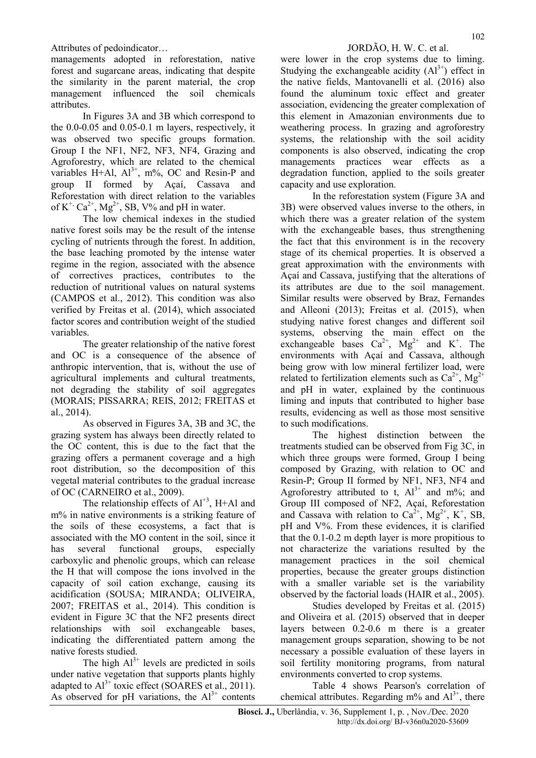Attributes of pedoindicator… Sample of pedoindicator… JORDÃO, H. W. C. et al.

managements adopted in reforestation, native forest and sugarcane areas, indicating that despite the similarity in the parent material, the crop management influenced the soil chemicals attributes.

In Figures 3A and 3B which correspond to the 0.0-0.05 and 0.05-0.1 m layers, respectively, it was observed two specific groups formation. Group I the NF1, NF2, NF3, NF4, Grazing and Agroforestry, which are related to the chemical variables H+Al,  $Al^{3+}$ , m%, OC and Resin-P and group II formed by Açaí, Cassava and Reforestation with direct relation to the variables of  $K^+$ ,  $Ca^{2+}$ ,  $Mg^{2+}$ , SB, V% and pH in water.

The low chemical indexes in the studied native forest soils may be the result of the intense cycling of nutrients through the forest. In addition, the base leaching promoted by the intense water regime in the region, associated with the absence of correctives practices, contributes to the reduction of nutritional values on natural systems (CAMPOS et al., 2012). This condition was also verified by Freitas et al. (2014), which associated factor scores and contribution weight of the studied variables.

The greater relationship of the native forest and OC is a consequence of the absence of anthropic intervention, that is, without the use of agricultural implements and cultural treatments, not degrading the stability of soil aggregates (MORAIS; PISSARRA; REIS, 2012; FREITAS et al., 2014).

As observed in Figures 3A, 3B and 3C, the grazing system has always been directly related to the OC content, this is due to the fact that the grazing offers a permanent coverage and a high root distribution, so the decomposition of this vegetal material contributes to the gradual increase of OC (CARNEIRO et al., 2009).

The relationship effects of  $Al^{+3}$ , H+Al and m% in native environments is a striking feature of the soils of these ecosystems, a fact that is associated with the MO content in the soil, since it has several functional groups, especially carboxylic and phenolic groups, which can release the H that will compose the ions involved in the capacity of soil cation exchange, causing its acidification (SOUSA; MIRANDA; OLIVEIRA, 2007; FREITAS et al., 2014). This condition is evident in Figure 3C that the NF2 presents direct relationships with soil exchangeable bases, indicating the differentiated pattern among the native forests studied.

The high  $Al^{3+}$  levels are predicted in soils under native vegetation that supports plants highly adapted to  $Al^{3+}$  toxic effect (SOARES et al., 2011). As observed for pH variations, the  $Al^{3+}$  contents were lower in the crop systems due to liming. Studying the exchangeable acidity  $(Al^{3+})$  effect in the native fields, Mantovanelli et al. (2016) also found the aluminum toxic effect and greater association, evidencing the greater complexation of this element in Amazonian environments due to weathering process. In grazing and agroforestry systems, the relationship with the soil acidity components is also observed, indicating the crop managements practices wear effects as a degradation function, applied to the soils greater capacity and use exploration.

In the reforestation system (Figure 3A and 3B) were observed values inverse to the others, in which there was a greater relation of the system with the exchangeable bases, thus strengthening the fact that this environment is in the recovery stage of its chemical properties. It is observed a great approximation with the environments with Açaí and Cassava, justifying that the alterations of its attributes are due to the soil management. Similar results were observed by Braz, Fernandes and Alleoni (2013); Freitas et al. (2015), when studying native forest changes and different soil systems, observing the main effect on the exchangeable bases  $Ca^{2+}$ ,  $Mg^{2+}$  and K<sup>+</sup>. The environments with Açaí and Cassava, although being grow with low mineral fertilizer load, were related to fertilization elements such as  $Ca^{2+}$ , Mg<sup>2+</sup> and pH in water, explained by the continuous liming and inputs that contributed to higher base results, evidencing as well as those most sensitive to such modifications.

The highest distinction between the treatments studied can be observed from Fig 3C, in which three groups were formed, Group I being composed by Grazing, with relation to OC and Resin-P; Group II formed by NF1, NF3, NF4 and Agroforestry attributed to t,  $Al^{3+}$  and m%; and Group III composed of NF2, Açaí, Reforestation and Cassava with relation to  $Ca^{2+}$ ,  $Mg^{2+}$ , K<sup>+</sup>, SB, pH and V%. From these evidences, it is clarified that the 0.1-0.2 m depth layer is more propitious to not characterize the variations resulted by the management practices in the soil chemical properties, because the greater groups distinction with a smaller variable set is the variability observed by the factorial loads (HAIR et al., 2005).

Studies developed by Freitas et al. (2015) and Oliveira et al. (2015) observed that in deeper layers between 0.2-0.6 m there is a greater management groups separation, showing to be not necessary a possible evaluation of these layers in soil fertility monitoring programs, from natural environments converted to crop systems.

Table 4 shows Pearson's correlation of chemical attributes. Regarding  $m\%$  and  $Al^{3+}$ , there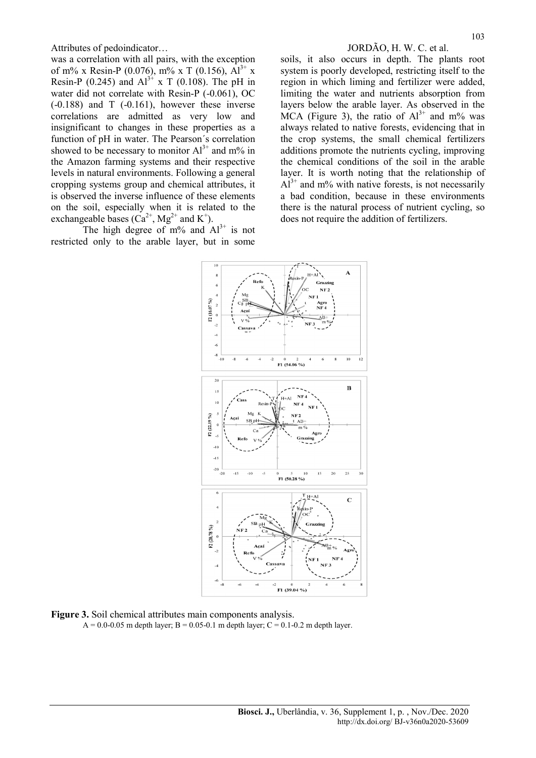was a correlation with all pairs, with the exception of m% x Resin-P (0.076), m% x T (0.156),  $Al^{3+} x$ Resin-P (0.245) and  $Al^{3+} x T$  (0.108). The pH in water did not correlate with Resin-P (-0.061), OC  $(-0.188)$  and T  $(-0.161)$ , however these inverse correlations are admitted as very low and insignificant to changes in these properties as a function of pH in water. The Pearson´s correlation showed to be necessary to monitor  $Al^{3+}$  and m% in the Amazon farming systems and their respective levels in natural environments. Following a general cropping systems group and chemical attributes, it is observed the inverse influence of these elements on the soil, especially when it is related to the exchangeable bases  $(Ca^{2+}, Mg^{2+}$  and K<sup>+</sup>).

The high degree of m% and  $Al^{3+}$  is not restricted only to the arable layer, but in some

soils, it also occurs in depth. The plants root system is poorly developed, restricting itself to the region in which liming and fertilizer were added, limiting the water and nutrients absorption from layers below the arable layer. As observed in the MCA (Figure 3), the ratio of  $Al^{3+}$  and m% was always related to native forests, evidencing that in the crop systems, the small chemical fertilizers additions promote the nutrients cycling, improving the chemical conditions of the soil in the arable layer. It is worth noting that the relationship of  $Al^{3+}$  and m% with native forests, is not necessarily a bad condition, because in these environments there is the natural process of nutrient cycling, so does not require the addition of fertilizers.



Figure 3. Soil chemical attributes main components analysis.

 $A = 0.0 - 0.05$  m depth layer; B = 0.05-0.1 m depth layer; C = 0.1-0.2 m depth layer.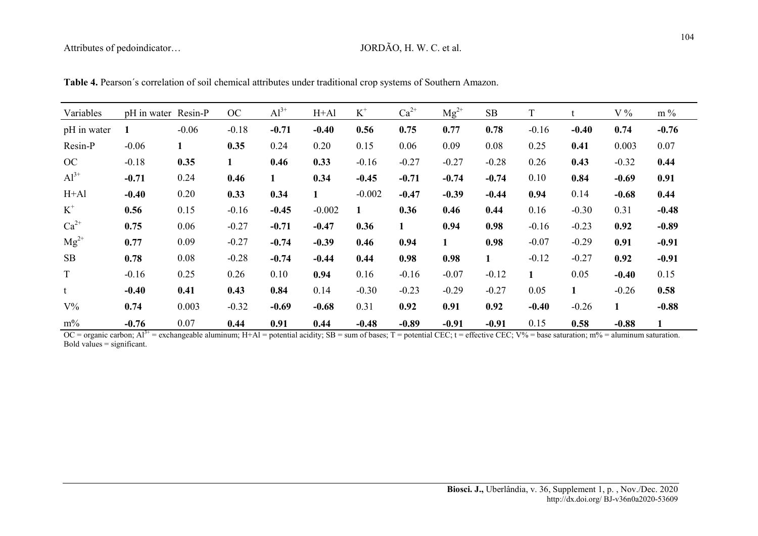| Variables   | pH in water Resin-P |         | OC      | $Al^{3+}$    | $H+A1$      | $K^+$    | $Ca^{2+}$    | $Mg^{2+}$ | SB           | T            |              | V%      | $m\%$        |
|-------------|---------------------|---------|---------|--------------|-------------|----------|--------------|-----------|--------------|--------------|--------------|---------|--------------|
| pH in water |                     | $-0.06$ | $-0.18$ | $-0.71$      | $-0.40$     | 0.56     | 0.75         | 0.77      | 0.78         | $-0.16$      | $-0.40$      | 0.74    | $-0.76$      |
| Resin-P     | $-0.06$             | 1       | 0.35    | 0.24         | 0.20        | 0.15     | 0.06         | 0.09      | 0.08         | 0.25         | 0.41         | 0.003   | 0.07         |
| OC          | $-0.18$             | 0.35    | 1       | 0.46         | 0.33        | $-0.16$  | $-0.27$      | $-0.27$   | $-0.28$      | 0.26         | 0.43         | $-0.32$ | 0.44         |
| $Al^{3+}$   | $-0.71$             | 0.24    | 0.46    | $\mathbf{1}$ | 0.34        | $-0.45$  | $-0.71$      | $-0.74$   | $-0.74$      | 0.10         | 0.84         | $-0.69$ | 0.91         |
| $H+A1$      | $-0.40$             | 0.20    | 0.33    | 0.34         | $\mathbf 1$ | $-0.002$ | $-0.47$      | $-0.39$   | $-0.44$      | 0.94         | 0.14         | $-0.68$ | 0.44         |
| $K^+$       | 0.56                | 0.15    | $-0.16$ | $-0.45$      | $-0.002$    | 1        | 0.36         | 0.46      | 0.44         | 0.16         | $-0.30$      | 0.31    | $-0.48$      |
| $Ca^{2+}$   | 0.75                | 0.06    | $-0.27$ | $-0.71$      | $-0.47$     | 0.36     | $\mathbf{1}$ | 0.94      | 0.98         | $-0.16$      | $-0.23$      | 0.92    | $-0.89$      |
| $Mg^{2+}$   | 0.77                | 0.09    | $-0.27$ | $-0.74$      | $-0.39$     | 0.46     | 0.94         | 1         | 0.98         | $-0.07$      | $-0.29$      | 0.91    | $-0.91$      |
| SB          | 0.78                | 0.08    | $-0.28$ | $-0.74$      | $-0.44$     | 0.44     | 0.98         | 0.98      | $\mathbf{1}$ | $-0.12$      | $-0.27$      | 0.92    | $-0.91$      |
| $\mathbf T$ | $-0.16$             | 0.25    | 0.26    | 0.10         | 0.94        | 0.16     | $-0.16$      | $-0.07$   | $-0.12$      | $\mathbf{1}$ | 0.05         | $-0.40$ | 0.15         |
| t           | $-0.40$             | 0.41    | 0.43    | 0.84         | 0.14        | $-0.30$  | $-0.23$      | $-0.29$   | $-0.27$      | 0.05         | $\mathbf{1}$ | $-0.26$ | 0.58         |
| $V\%$       | 0.74                | 0.003   | $-0.32$ | $-0.69$      | $-0.68$     | 0.31     | 0.92         | 0.91      | 0.92         | $-0.40$      | $-0.26$      | 1       | $-0.88$      |
| $m\%$       | $-0.76$             | 0.07    | 0.44    | 0.91         | 0.44        | $-0.48$  | $-0.89$      | $-0.91$   | $-0.91$      | 0.15         | 0.58         | $-0.88$ | $\mathbf{1}$ |

Table 4. Pearson´s correlation of soil chemical attributes under traditional crop systems of Southern Amazon.

 $OC =$  organic carbon;  $Al^{3+}$  = exchangeable aluminum; H+Al = potential acidity; SB = sum of bases; T = potential CEC; t = effective CEC; V% = base saturation; m% = aluminum saturation. Bold values  $=$  significant.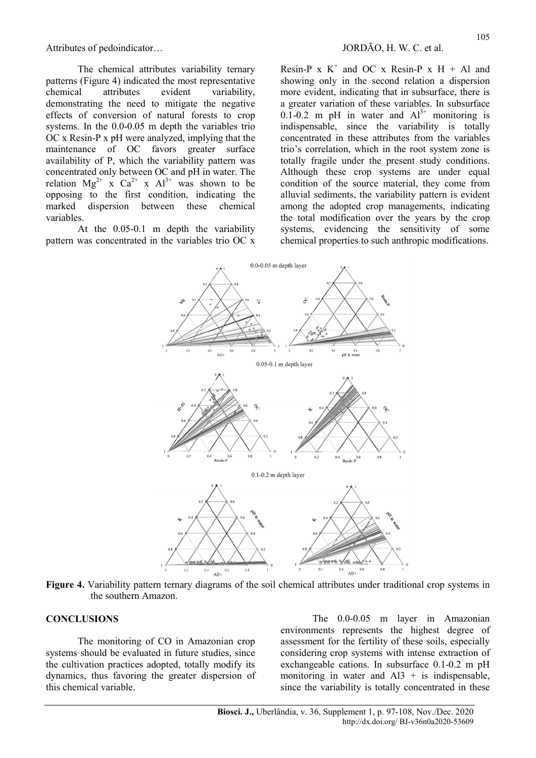The chemical attributes variability ternary patterns (Figure 4) indicated the most representative chemical attributes evident variability, demonstrating the need to mitigate the negative effects of conversion of natural forests to crop systems. In the 0.0-0.05 m depth the variables trio OC x Resin-P x pH were analyzed, implying that the maintenance of OC favors greater surface availability of P, which the variability pattern was concentrated only between OC and pH in water. The relation  $Mg^{2+}$  x  $Ca^{2+}$  x  $Al^{3+}$  was shown to be opposing to the first condition, indicating the marked dispersion between these chemical variables.

At the 0.05-0.1 m depth the variability pattern was concentrated in the variables trio OC x

Resin-P  $x K^+$  and OC  $x Resin-P$   $x H + A1$  and showing only in the second relation a dispersion more evident, indicating that in subsurface, there is a greater variation of these variables. In subsurface  $0.\overline{1}$ -0.2 m pH in water and  $Al^{3+}$  monitoring is indispensable, since the variability is totally concentrated in these attributes from the variables trio's correlation, which in the root system zone is totally fragile under the present study conditions. Although these crop systems are under equal condition of the source material, they come from alluvial sediments, the variability pattern is evident among the adopted crop managements, indicating the total modification over the years by the crop systems, evidencing the sensitivity of some chemical properties to such anthropic modifications.



Figure 4. Variability pattern ternary diagrams of the soil chemical attributes under traditional crop systems in the southern Amazon.

# **CONCLUSIONS**

The monitoring of CO in Amazonian crop systems should be evaluated in future studies, since the cultivation practices adopted, totally modify its dynamics, thus favoring the greater dispersion of this chemical variable.

The 0.0-0.05 m layer in Amazonian environments represents the highest degree of assessment for the fertility of these soils, especially considering crop systems with intense extraction of exchangeable cations. In subsurface 0.1-0.2 m pH monitoring in water and  $AI3 + is$  indispensable, since the variability is totally concentrated in these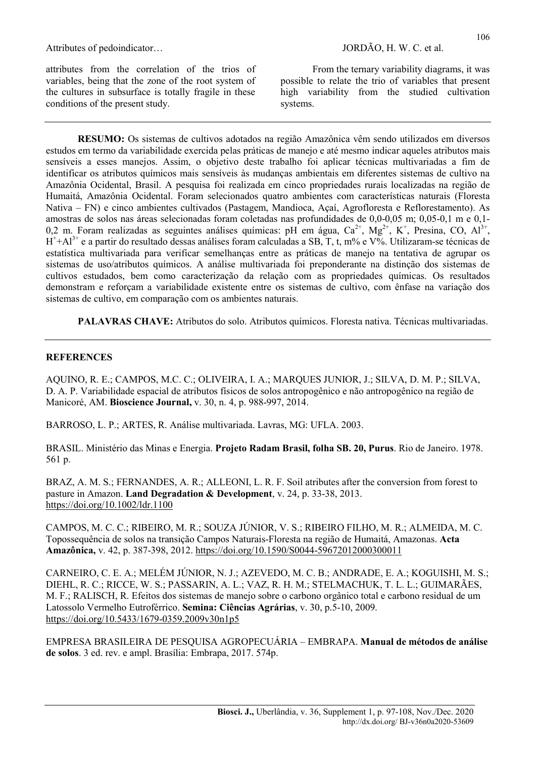attributes from the correlation of the trios of variables, being that the zone of the root system of the cultures in subsurface is totally fragile in these conditions of the present study.

From the ternary variability diagrams, it was possible to relate the trio of variables that present high variability from the studied cultivation systems.

RESUMO: Os sistemas de cultivos adotados na região Amazônica vêm sendo utilizados em diversos estudos em termo da variabilidade exercida pelas práticas de manejo e até mesmo indicar aqueles atributos mais sensíveis a esses manejos. Assim, o objetivo deste trabalho foi aplicar técnicas multivariadas a fim de identificar os atributos químicos mais sensíveis às mudanças ambientais em diferentes sistemas de cultivo na Amazônia Ocidental, Brasil. A pesquisa foi realizada em cinco propriedades rurais localizadas na região de Humaitá, Amazônia Ocidental. Foram selecionados quatro ambientes com características naturais (Floresta Nativa – FN) e cinco ambientes cultivados (Pastagem, Mandioca, Açaí, Agrofloresta e Reflorestamento). As amostras de solos nas áreas selecionadas foram coletadas nas profundidades de 0,0-0,05 m; 0,05-0,1 m e 0,1- 0,2 m. Foram realizadas as seguintes análises químicas: pH em água,  $Ca^{2+}$ , Mg<sup>2+</sup>, K<sup>+</sup>, Presina, CO, Al<sup>3+</sup>,  $H^+ + Al^{3+}$  e a partir do resultado dessas análises foram calculadas a SB, T, t, m% e V%. Utilizaram-se técnicas de estatística multivariada para verificar semelhanças entre as práticas de manejo na tentativa de agrupar os sistemas de uso/atributos químicos. A análise multivariada foi preponderante na distinção dos sistemas de cultivos estudados, bem como caracterização da relação com as propriedades químicas. Os resultados demonstram e reforçam a variabilidade existente entre os sistemas de cultivo, com ênfase na variação dos sistemas de cultivo, em comparação com os ambientes naturais.

PALAVRAS CHAVE: Atributos do solo. Atributos químicos. Floresta nativa. Técnicas multivariadas.

# **REFERENCES**

AQUINO, R. E.; CAMPOS, M.C. C.; OLIVEIRA, I. A.; MARQUES JUNIOR, J.; SILVA, D. M. P.; SILVA, D. A. P. Variabilidade espacial de atributos físicos de solos antropogênico e não antropogênico na região de Manicoré, AM. Bioscience Journal, v. 30, n. 4, p. 988-997, 2014.

BARROSO, L. P.; ARTES, R. Análise multivariada. Lavras, MG: UFLA. 2003.

BRASIL. Ministério das Minas e Energia. Projeto Radam Brasil, folha SB. 20, Purus. Rio de Janeiro. 1978. 561 p.

BRAZ, A. M. S.; FERNANDES, A. R.; ALLEONI, L. R. F. Soil atributes after the conversion from forest to pasture in Amazon. Land Degradation & Development, v. 24, p. 33-38, 2013. https://doi.org/10.1002/ldr.1100

CAMPOS, M. C. C.; RIBEIRO, M. R.; SOUZA JÚNIOR, V. S.; RIBEIRO FILHO, M. R.; ALMEIDA, M. C. Topossequência de solos na transição Campos Naturais-Floresta na região de Humaitá, Amazonas. Acta Amazônica, v. 42, p. 387-398, 2012. https://doi.org/10.1590/S0044-59672012000300011

CARNEIRO, C. E. A.; MELÉM JÚNIOR, N. J.; AZEVEDO, M. C. B.; ANDRADE, E. A.; KOGUISHI, M. S.; DIEHL, R. C.; RICCE, W. S.; PASSARIN, A. L.; VAZ, R. H. M.; STELMACHUK, T. L. L.; GUIMARÃES, M. F.; RALISCH, R. Efeitos dos sistemas de manejo sobre o carbono orgânico total e carbono residual de um Latossolo Vermelho Eutroférrico. Semina: Ciências Agrárias, v. 30, p.5-10, 2009. https://doi.org/10.5433/1679-0359.2009v30n1p5

EMPRESA BRASILEIRA DE PESQUISA AGROPECUÁRIA – EMBRAPA. Manual de métodos de análise de solos. 3 ed. rev. e ampl. Brasília: Embrapa, 2017. 574p.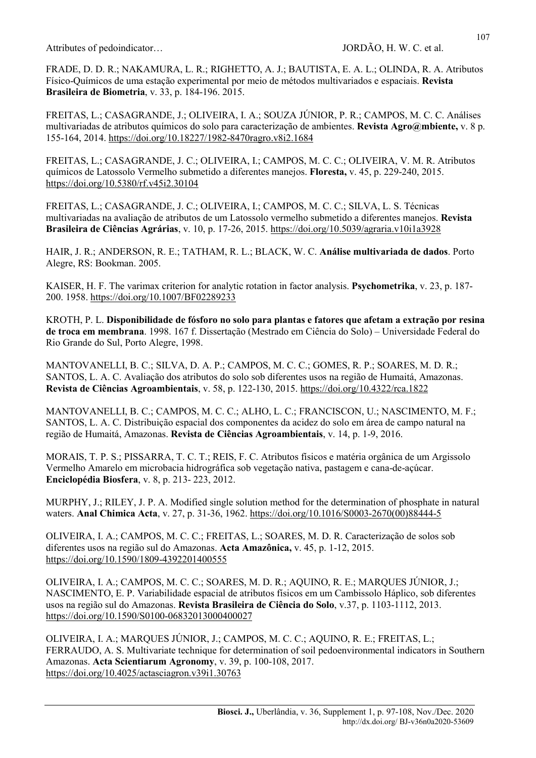FRADE, D. D. R.; NAKAMURA, L. R.; RIGHETTO, A. J.; BAUTISTA, E. A. L.; OLINDA, R. A. Atributos Físico-Químicos de uma estação experimental por meio de métodos multivariados e espaciais. Revista Brasileira de Biometria, v. 33, p. 184-196. 2015.

FREITAS, L.; CASAGRANDE, J.; OLIVEIRA, I. A.; SOUZA JÚNIOR, P. R.; CAMPOS, M. C. C. Análises multivariadas de atributos químicos do solo para caracterização de ambientes. Revista Agro@mbiente, v. 8 p. 155-164, 2014. https://doi.org/10.18227/1982-8470ragro.v8i2.1684

FREITAS, L.; CASAGRANDE, J. C.; OLIVEIRA, I.; CAMPOS, M. C. C.; OLIVEIRA, V. M. R. Atributos químicos de Latossolo Vermelho submetido a diferentes manejos. Floresta, v. 45, p. 229-240, 2015. https://doi.org/10.5380/rf.v45i2.30104

FREITAS, L.; CASAGRANDE, J. C.; OLIVEIRA, I.; CAMPOS, M. C. C.; SILVA, L. S. Técnicas multivariadas na avaliação de atributos de um Latossolo vermelho submetido a diferentes manejos. Revista Brasileira de Ciências Agrárias, v. 10, p. 17-26, 2015. https://doi.org/10.5039/agraria.v10i1a3928

HAIR, J. R.; ANDERSON, R. E.; TATHAM, R. L.; BLACK, W. C. Análise multivariada de dados. Porto Alegre, RS: Bookman. 2005.

KAISER, H. F. The varimax criterion for analytic rotation in factor analysis. **Psychometrika**, v. 23, p. 187-200. 1958. https://doi.org/10.1007/BF02289233

KROTH, P. L. Disponibilidade de fósforo no solo para plantas e fatores que afetam a extração por resina de troca em membrana. 1998. 167 f. Dissertação (Mestrado em Ciência do Solo) – Universidade Federal do Rio Grande do Sul, Porto Alegre, 1998.

MANTOVANELLI, B. C.; SILVA, D. A. P.; CAMPOS, M. C. C.; GOMES, R. P.; SOARES, M. D. R.; SANTOS, L. A. C. Avaliação dos atributos do solo sob diferentes usos na região de Humaitá, Amazonas. Revista de Ciências Agroambientais, v. 58, p. 122-130, 2015. https://doi.org/10.4322/rca.1822

MANTOVANELLI, B. C.; CAMPOS, M. C. C.; ALHO, L. C.; FRANCISCON, U.; NASCIMENTO, M. F.; SANTOS, L. A. C. Distribuição espacial dos componentes da acidez do solo em área de campo natural na região de Humaitá, Amazonas. Revista de Ciências Agroambientais, v. 14, p. 1-9, 2016.

MORAIS, T. P. S.; PISSARRA, T. C. T.; REIS, F. C. Atributos físicos e matéria orgânica de um Argissolo Vermelho Amarelo em microbacia hidrográfica sob vegetação nativa, pastagem e cana-de-açúcar. Enciclopédia Biosfera, v. 8, p. 213- 223, 2012.

MURPHY, J.; RILEY, J. P. A. Modified single solution method for the determination of phosphate in natural waters. Anal Chimica Acta, v. 27, p. 31-36, 1962. https://doi.org/10.1016/S0003-2670(00)88444-5

OLIVEIRA, I. A.; CAMPOS, M. C. C.; FREITAS, L.; SOARES, M. D. R. Caracterização de solos sob diferentes usos na região sul do Amazonas. Acta Amazônica, v. 45, p. 1-12, 2015. https://doi.org/10.1590/1809-4392201400555

OLIVEIRA, I. A.; CAMPOS, M. C. C.; SOARES, M. D. R.; AQUINO, R. E.; MARQUES JÚNIOR, J.; NASCIMENTO, E. P. Variabilidade espacial de atributos físicos em um Cambissolo Háplico, sob diferentes usos na região sul do Amazonas. Revista Brasileira de Ciência do Solo, v.37, p. 1103-1112, 2013. https://doi.org/10.1590/S0100-06832013000400027

OLIVEIRA, I. A.; MARQUES JÚNIOR, J.; CAMPOS, M. C. C.; AQUINO, R. E.; FREITAS, L.; FERRAUDO, A. S. Multivariate technique for determination of soil pedoenvironmental indicators in Southern Amazonas. Acta Scientiarum Agronomy, v. 39, p. 100-108, 2017. https://doi.org/10.4025/actasciagron.v39i1.30763